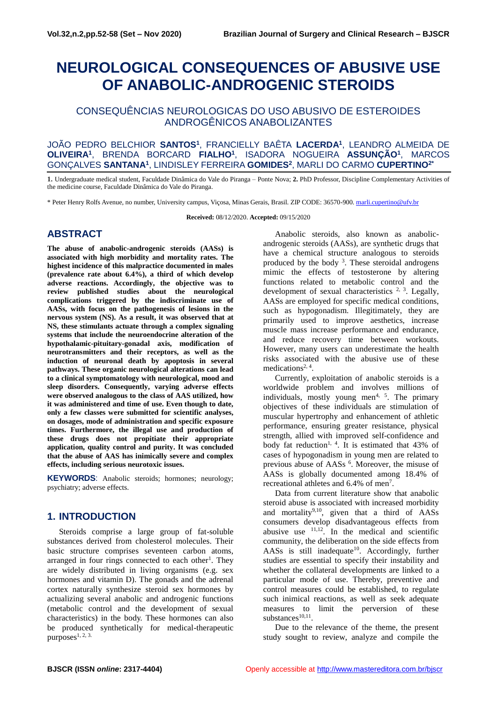# **NEUROLOGICAL CONSEQUENCES OF ABUSIVE USE OF ANABOLIC-ANDROGENIC STEROIDS**

# CONSEQUÊNCIAS NEUROLOGICAS DO USO ABUSIVO DE ESTEROIDES ANDROGÊNICOS ANABOLIZANTES

#### JOÃO PEDRO BELCHIOR **SANTOS<sup>1</sup>** , FRANCIELLY BAÊTA **LACERDA<sup>1</sup>** , LEANDRO ALMEIDA DE **OLIVEIRA<sup>1</sup>** , BRENDA BORCARD **FIALHO<sup>1</sup>** , ISADORA NOGUEIRA **ASSUNÇÃO<sup>1</sup>** , MARCOS GONÇALVES **SANTANA<sup>1</sup>** , LINDISLEY FERREIRA **GOMIDES<sup>2</sup>** , MARLI DO CARMO **CUPERTINO2\***

**1.** Undergraduate medical student, Faculdade Dinâmica do Vale do Piranga – Ponte Nova; **2.** PhD Professor, Discipline Complementary Activities of the medicine course, Faculdade Dinâmica do Vale do Piranga.

\* Peter Henry Rolfs Avenue, no number, University campus, Viçosa, Minas Gerais, Brasil. ZIP CODE: 36570-900[. marli.cupertino@ufv.br](mailto:marli.cupertino@ufv.br)

**Received:** 08/12/2020. **Accepted:** 09/15/2020

## **ABSTRACT**

**The abuse of anabolic-androgenic steroids (AASs) is associated with high morbidity and mortality rates. The highest incidence of this malpractice documented in males (prevalence rate about 6.4%), a third of which develop adverse reactions. Accordingly, the objective was to review published studies about the neurological complications triggered by the indiscriminate use of AASs, with focus on the pathogenesis of lesions in the nervous system (NS). As a result, it was observed that at NS, these stimulants actuate through a complex signaling systems that include the neuroendocrine alteration of the hypothalamic-pituitary-gonadal axis, modification of neurotransmitters and their receptors, as well as the induction of neuronal death by apoptosis in several pathways. These organic neurological alterations can lead to a clinical symptomatology with neurological, mood and sleep disorders. Consequently, varying adverse effects were observed analogous to the class of AAS utilized, how it was administered and time of use. Even though to date, only a few classes were submitted for scientific analyses, on dosages, mode of administration and specific exposure times. Furthermore, the illegal use and production of these drugs does not propitiate their appropriate application, quality control and purity. It was concluded that the abuse of AAS has inimically severe and complex effects, including serious neurotoxic issues.**

**KEYWORDS**: Anabolic steroids; hormones; neurology; psychiatry; adverse effects.

# **1. INTRODUCTION**

Steroids comprise a large group of fat-soluble substances derived from cholesterol molecules. Their basic structure comprises seventeen carbon atoms, arranged in four rings connected to each other<sup>1</sup>. They are widely distributed in living organisms (e.g. sex hormones and vitamin D). The gonads and the adrenal cortex naturally synthesize steroid sex hormones by actualizing several anabolic and androgenic functions (metabolic control and the development of sexual characteristics) in the body. These hormones can also be produced synthetically for medical-therapeutic purposes $1, 2, 3$ .

Anabolic steroids, also known as anabolicandrogenic steroids (AASs), are synthetic drugs that have a chemical structure analogous to steroids produced by the body  $3$ . These steroidal androgens mimic the effects of testosterone by altering functions related to metabolic control and the development of sexual characteristics  $2, 3$ . Legally, AASs are employed for specific medical conditions, such as hypogonadism. Illegitimately, they are primarily used to improve aesthetics, increase muscle mass increase performance and endurance, and reduce recovery time between workouts. However, many users can underestimate the health risks associated with the abusive use of these medications<sup>2, 4</sup>.

Currently, exploitation of anabolic steroids is a worldwide problem and involves millions of individuals, mostly young men<sup>4, 5</sup>. The primary objectives of these individuals are stimulation of muscular hypertrophy and enhancement of athletic performance, ensuring greater resistance, physical strength, allied with improved self-confidence and body fat reduction<sup>1, 4</sup>. It is estimated that  $43\%$  of cases of hypogonadism in young men are related to previous abuse of AASs<sup>6</sup>. Moreover, the misuse of AASs is globally documented among 18.4% of recreational athletes and 6.4% of men<sup>7</sup>.

Data from current literature show that anabolic steroid abuse is associated with increased morbidity and mortality<sup>9,10</sup>, given that a third of  $AASs$ consumers develop disadvantageous effects from abusive use  $11,12$ . In the medical and scientific community, the deliberation on the side effects from AASs is still inadequate<sup>10</sup>. Accordingly, further studies are essential to specify their instability and whether the collateral developments are linked to a particular mode of use. Thereby, preventive and control measures could be established, to regulate such inimical reactions, as well as seek adequate measures to limit the perversion of these substances<sup>10,11</sup>.

Due to the relevance of the theme, the present study sought to review, analyze and compile the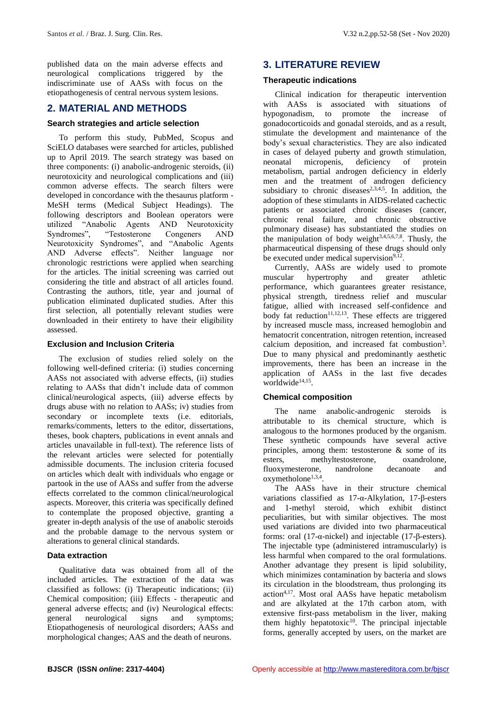published data on the main adverse effects and neurological complications triggered by the indiscriminate use of AASs with focus on the etiopathogenesis of central nervous system lesions.

# **2. MATERIAL AND METHODS**

#### **Search strategies and article selection**

To perform this study, PubMed, Scopus and SciELO databases were searched for articles, published up to April 2019. The search strategy was based on three components: (i) anabolic-androgenic steroids, (ii) neurotoxicity and neurological complications and (iii) common adverse effects. The search filters were developed in concordance with the thesaurus platform - MeSH terms (Medical Subject Headings). The following descriptors and Boolean operators were utilized "Anabolic Agents AND Neurotoxicity Syndromes", "Testosterone Congeners AND Neurotoxicity Syndromes", and "Anabolic Agents AND Adverse effects". Neither language nor chronologic restrictions were applied when searching for the articles. The initial screening was carried out considering the title and abstract of all articles found. Contrasting the authors, title, year and journal of publication eliminated duplicated studies. After this first selection, all potentially relevant studies were downloaded in their entirety to have their eligibility assessed.

#### **Exclusion and Inclusion Criteria**

The exclusion of studies relied solely on the following well-defined criteria: (i) studies concerning AASs not associated with adverse effects, (ii) studies relating to AASs that didn't include data of common clinical/neurological aspects, (iii) adverse effects by drugs abuse with no relation to AASs; iv) studies from secondary or incomplete texts (i.e. editorials, remarks/comments, letters to the editor, dissertations, theses, book chapters, publications in event annals and articles unavailable in full-text). The reference lists of the relevant articles were selected for potentially admissible documents. The inclusion criteria focused on articles which dealt with individuals who engage or partook in the use of AASs and suffer from the adverse effects correlated to the common clinical/neurological aspects. Moreover, this criteria was specifically defined to contemplate the proposed objective, granting a greater in-depth analysis of the use of anabolic steroids and the probable damage to the nervous system or alterations to general clinical standards.

#### **Data extraction**

Qualitative data was obtained from all of the included articles. The extraction of the data was classified as follows: (i) Therapeutic indications; (ii) Chemical composition; (iii) Effects - therapeutic and general adverse effects; and (iv) Neurological effects: general neurological signs and symptoms; Etiopathogenesis of neurological disorders; AASs and morphological changes; AAS and the death of neurons.

# **3. LITERATURE REVIEW**

#### **Therapeutic indications**

Clinical indication for therapeutic intervention with AASs is associated with situations of hypogonadism, to promote the increase of gonadocorticoids and gonadal steroids, and as a result, stimulate the development and maintenance of the body's sexual characteristics. They are also indicated in cases of delayed puberty and growth stimulation, neonatal micropenis, deficiency of protein metabolism, partial androgen deficiency in elderly men and the treatment of androgen deficiency subsidiary to chronic diseases $2,3,4,5$ . In addition, the adoption of these stimulants in AIDS-related cachectic patients or associated chronic diseases (cancer, chronic renal failure, and chronic obstructive pulmonary disease) has substantiated the studies on the manipulation of body weight $3,4,5,6,7,8$ . Thusly, the pharmaceutical dispensing of these drugs should only be executed under medical supervision<sup>9,12</sup>.

Currently, AASs are widely used to promote muscular hypertrophy and greater athletic performance, which guarantees greater resistance, physical strength, tiredness relief and muscular fatigue, allied with increased self-confidence and body fat reduction<sup>11,12,13</sup>. These effects are triggered by increased muscle mass, increased hemoglobin and hematocrit concentration, nitrogen retention, increased calcium deposition, and increased fat combustion<sup>3</sup>. Due to many physical and predominantly aesthetic improvements, there has been an increase in the application of AASs in the last five decades worldwide<sup>14,15</sup>.

## **Chemical composition**

The name anabolic-androgenic steroids is attributable to its chemical structure, which is analogous to the hormones produced by the organism. These synthetic compounds have several active principles, among them: testosterone & some of its esters, methyltestosterone, oxandrolone, fluoxymesterone, nandrolone decanoate and oxymetholone<sup>1,3,4</sup>.

The AASs have in their structure chemical variations classified as 17-α-Alkylation, 17-β-esters and 1-methyl steroid, which exhibit distinct peculiarities, but with similar objectives. The most used variations are divided into two pharmaceutical forms: oral (17-α-nickel) and injectable (17-β-esters). The injectable type (administered intramuscularly) is less harmful when compared to the oral formulations. Another advantage they present is lipid solubility, which minimizes contamination by bacteria and slows its circulation in the bloodstream, thus prolonging its action4,17. Most oral AASs have hepatic metabolism and are alkylated at the 17th carbon atom, with extensive first-pass metabolism in the liver, making them highly hepatotoxic $10$ . The principal injectable forms, generally accepted by users, on the market are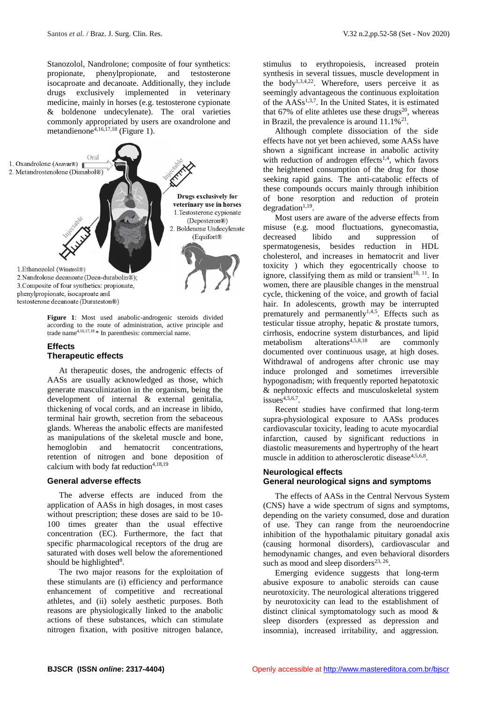Stanozolol, Nandrolone; composite of four synthetics: propionate, phenylpropionate, and testosterone isocaproate and decanoate. Additionally, they include drugs exclusively implemented in veterinary medicine, mainly in horses (e.g. testosterone cypionate & boldenone undecylenate). The oral varieties commonly appropriated by users are oxandrolone and metandienone<sup>4,16,17,18</sup> (Figure 1).



**Figure 1**: Most used anabolic-androgenic steroids divided according to the route of administration, active principle and trade name4,16,17,18 \* In parenthesis: commercial name.

#### **Effects Therapeutic effects**

At therapeutic doses, the androgenic effects of AASs are usually acknowledged as those, which generate masculinization in the organism, being the development of internal & external genitalia, thickening of vocal cords, and an increase in libido, terminal hair growth, secretion from the sebaceous glands. Whereas the anabolic effects are manifested as manipulations of the skeletal muscle and bone, hemoglobin and hematocrit concentrations, retention of nitrogen and bone deposition of calcium with body fat reduction<sup>4,18,19</sup>

#### **General adverse effects**

The adverse effects are induced from the application of AASs in high dosages, in most cases without prescription; these doses are said to be 10- 100 times greater than the usual effective concentration (EC). Furthermore, the fact that specific pharmacological receptors of the drug are saturated with doses well below the aforementioned should be highlighted $8$ .

The two major reasons for the exploitation of these stimulants are (i) efficiency and performance enhancement of competitive and recreational athletes, and (ii) solely aesthetic purposes. Both reasons are physiologically linked to the anabolic actions of these substances, which can stimulate nitrogen fixation, with positive nitrogen balance,

stimulus to erythropoiesis, increased protein synthesis in several tissues, muscle development in the body<sup>1,3,4,22</sup>. Wherefore, users perceive it as seemingly advantageous the continuous exploitation of the AASs1,3,7. In the United States, it is estimated that 67% of elite athletes use these drugs<sup>20</sup>, whereas in Brazil, the prevalence is around  $11.1\%^{21}$ .

Although complete dissociation of the side effects have not yet been achieved, some AASs have shown a significant increase in anabolic activity with reduction of androgen effects<sup>1,4</sup>, which favors the heightened consumption of the drug for those seeking rapid gains. The anti-catabolic effects of these compounds occurs mainly through inhibition of bone resorption and reduction of protein  $degradation<sup>1,19</sup>$ .

Most users are aware of the adverse effects from misuse (e.g. mood fluctuations, gynecomastia, decreased libido and suppression of spermatogenesis, besides reduction in HDL cholesterol, and increases in hematocrit and liver toxicity ) which they egocentrically choose to ignore, classifying them as mild or transient $10, 11$ . In women, there are plausible changes in the menstrual cycle, thickening of the voice, and growth of facial hair. In adolescents, growth may be interrupted prematurely and permanently<sup>1,4,5</sup>. Effects such as testicular tissue atrophy, hepatic & prostate tumors, cirrhosis, endocrine system disturbances, and lipid metabolism alterations<sup>4,5,8,18</sup> are commonly documented over continuous usage, at high doses. Withdrawal of androgens after chronic use may induce prolonged and sometimes irreversible hypogonadism; with frequently reported hepatotoxic & nephrotoxic effects and musculoskeletal system issues $4,5,6,7$ .

Recent studies have confirmed that long-term supra-physiological exposure to AASs produces cardiovascular toxicity, leading to acute myocardial infarction, caused by significant reductions in diastolic measurements and hypertrophy of the heart muscle in addition to atherosclerotic disease<sup>4,5,6,8</sup>.

#### **Neurological effects General neurological signs and symptoms**

The effects of AASs in the Central Nervous System (CNS) have a wide spectrum of signs and symptoms, depending on the variety consumed, dose and duration of use. They can range from the neuroendocrine inhibition of the hypothalamic pituitary gonadal axis (causing hormonal disorders), cardiovascular and hemodynamic changes, and even behavioral disorders such as mood and sleep disorders $23, 26$ .

Emerging evidence suggests that long-term abusive exposure to anabolic steroids can cause neurotoxicity. The neurological alterations triggered by neurotoxicity can lead to the establishment of distinct clinical symptomatology such as mood & sleep disorders (expressed as depression and insomnia), increased irritability, and aggression.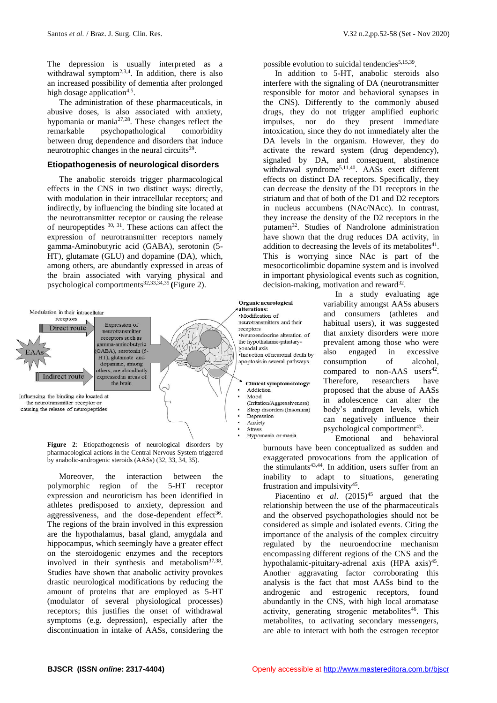The depression is usually interpreted as a withdrawal symptom<sup>2,3,4</sup>. In addition, there is also an increased possibility of dementia after prolonged high dosage application<sup>4,5</sup>.

The administration of these pharmaceuticals, in abusive doses, is also associated with anxiety, hypomania or mania27,28. These changes reflect the remarkable psychopathological comorbidity between drug dependence and disorders that induce neurotrophic changes in the neural circuits $2<sup>9</sup>$ .

#### **Etiopathogenesis of neurological disorders**

The anabolic steroids trigger pharmacological effects in the CNS in two distinct ways: directly, with modulation in their intracellular receptors; and indirectly, by influencing the binding site located at the neurotransmitter receptor or causing the release of neuropeptides  $30, 31$ . These actions can affect the expression of neurotransmitter receptors namely gamma-Aminobutyric acid (GABA), serotonin (5- HT), glutamate (GLU) and dopamine (DA), which, among others, are abundantly expressed in areas of the brain associated with varying physical and psychological comportments32,33,34,35 **(**Figure 2).



**Figure 2**: Etiopathogenesis of neurological disorders by pharmacological actions in the Central Nervous System triggered by anabolic-androgenic steroids (AASs) (32, 33, 34, 35).

Moreover, the interaction between the polymorphic region of the 5-HT receptor expression and neuroticism has been identified in athletes predisposed to anxiety, depression and aggressiveness, and the dose-dependent effect<sup>36</sup>. The regions of the brain involved in this expression are the hypothalamus, basal gland, amygdala and hippocampus, which seemingly have a greater effect on the steroidogenic enzymes and the receptors involved in their synthesis and metabolism<sup>37,38</sup>. Studies have shown that anabolic activity provokes drastic neurological modifications by reducing the amount of proteins that are employed as 5-HT (modulator of several physiological processes) receptors; this justifies the onset of withdrawal symptoms (e.g. depression), especially after the discontinuation in intake of AASs, considering the

possible evolution to suicidal tendencies<sup>5,15,39</sup>.

In addition to 5-HT, anabolic steroids also interfere with the signaling of DA (neurotransmitter responsible for motor and behavioral synapses in the CNS). Differently to the commonly abused drugs, they do not trigger amplified euphoric impulses, nor do they present immediate intoxication, since they do not immediately alter the DA levels in the organism. However, they do activate the reward system (drug dependency), signaled by DA, and consequent, abstinence withdrawal syndrome<sup>5,11,40</sup>. AASs exert different effects on distinct DA receptors. Specifically, they can decrease the density of the D1 receptors in the striatum and that of both of the D1 and D2 receptors in nucleus accumbens (NAc/NAcc). In contrast, they increase the density of the D2 receptors in the putamen<sup>32</sup>. Studies of Nandrolone administration have shown that the drug reduces DA activity, in addition to decreasing the levels of its metabolites $41$ . This is worrying since NAc is part of the mesocorticolimbic dopamine system and is involved in important physiological events such as cognition,  $decision-making$ , motivation and reward<sup>32</sup>.

> In a study evaluating age variability amongst AASs abusers and consumers (athletes and habitual users), it was suggested that anxiety disorders were more prevalent among those who were also engaged in excessive consumption of alcohol, compared to non-AAS users<sup>42</sup>. Therefore, researchers have proposed that the abuse of AASs in adolescence can alter the body's androgen levels, which can negatively influence their psychological comportment<sup>43</sup>.

Emotional and behavioral burnouts have been conceptualized as sudden and exaggerated provocations from the application of the stimulants<sup>43,44</sup>. In addition, users suffer from an inability to adapt to situations, generating frustration and impulsivity<sup>45</sup>.

Piacentino *et al.* (2015)<sup>45</sup> argued that the relationship between the use of the pharmaceuticals and the observed psychopathologies should not be considered as simple and isolated events. Citing the importance of the analysis of the complex circuitry regulated by the neuroendocrine mechanism encompassing different regions of the CNS and the hypothalamic-pituitary-adrenal axis (HPA axis)<sup>45</sup>. Another aggravating factor corroborating this analysis is the fact that most AASs bind to the androgenic and estrogenic receptors, found abundantly in the CNS, with high local aromatase activity, generating strogenic metabolites $46$ . This metabolites, to activating secondary messengers, are able to interact with both the estrogen receptor

Hypomania or mania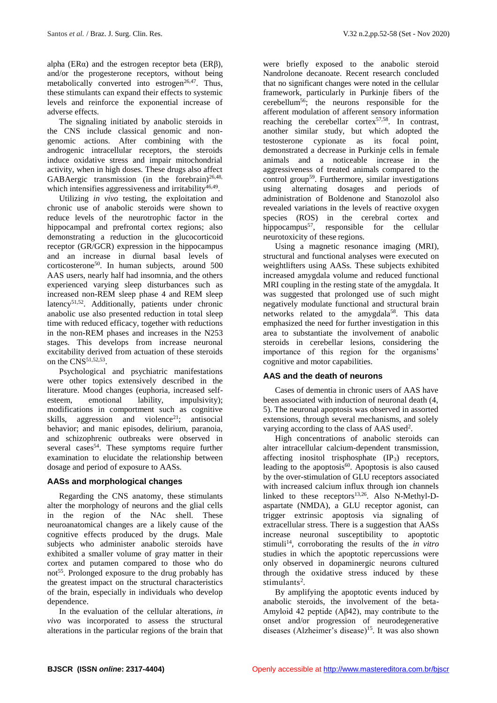alpha ( $ER\alpha$ ) and the estrogen receptor beta ( $ER\beta$ ), and/or the progesterone receptors, without being metabolically converted into estrogen<sup>26,47</sup>. Thus, these stimulants can expand their effects to systemic levels and reinforce the exponential increase of adverse effects.

The signaling initiated by anabolic steroids in the CNS include classical genomic and nongenomic actions. After combining with the androgenic intracellular receptors, the steroids induce oxidative stress and impair mitochondrial activity, when in high doses. These drugs also affect GABAergic transmission (in the forebrain)<sup>26,48,</sup> which intensifies aggressiveness and irritability<sup>46,49</sup>.

Utilizing *in vivo* testing, the exploitation and chronic use of anabolic steroids were shown to reduce levels of the neurotrophic factor in the hippocampal and prefrontal cortex regions; also demonstrating a reduction in the glucocorticoid receptor (GR/GCR) expression in the hippocampus and an increase in diurnal basal levels of corticosterone<sup>50</sup>. In human subjects, around 500 AAS users, nearly half had insomnia, and the others experienced varying sleep disturbances such as increased non-REM sleep phase 4 and REM sleep latency<sup>51,52</sup>. Additionally, patients under chronic anabolic use also presented reduction in total sleep time with reduced efficacy, together with reductions in the non-REM phases and increases in the N253 stages. This develops from increase neuronal excitability derived from actuation of these steroids on the  $CNS<sup>51,52,53</sup>$ .

Psychological and psychiatric manifestations were other topics extensively described in the literature. Mood changes (euphoria, increased selfesteem, emotional lability, impulsivity); modifications in comportment such as cognitive skills, aggression and violence<sup>21</sup>; antisocial behavior; and manic episodes, delirium, paranoia, and schizophrenic outbreaks were observed in several cases<sup>54</sup>. These symptoms require further examination to elucidate the relationship between dosage and period of exposure to AASs.

## **AASs and morphological changes**

Regarding the CNS anatomy, these stimulants alter the morphology of neurons and the glial cells in the region of the NAc shell. These neuroanatomical changes are a likely cause of the cognitive effects produced by the drugs. Male subjects who administer anabolic steroids have exhibited a smaller volume of gray matter in their cortex and putamen compared to those who do not<sup>55</sup>. Prolonged exposure to the drug probably has the greatest impact on the structural characteristics of the brain, especially in individuals who develop dependence.

In the evaluation of the cellular alterations, *in vivo* was incorporated to assess the structural alterations in the particular regions of the brain that

were briefly exposed to the anabolic steroid Nandrolone decanoate. Recent research concluded that no significant changes were noted in the cellular framework, particularly in Purkinje fibers of the cerebellum<sup>56</sup>; the neurons responsible for the afferent modulation of afferent sensory information reaching the cerebellar cortex $57,58$ . In contrast, another similar study, but which adopted the testosterone cypionate as its focal point, demonstrated a decrease in Purkinje cells in female animals and a noticeable increase in the aggressiveness of treated animals compared to the control group<sup>59</sup>. Furthermore, similar investigations using alternating dosages and periods of administration of Boldenone and Stanozolol also revealed variations in the levels of reactive oxygen species (ROS) in the cerebral cortex and hippocampus<sup>57</sup>, responsible for the cellular neurotoxicity of these regions.

Using a magnetic resonance imaging (MRI), structural and functional analyses were executed on weightlifters using AASs. These subjects exhibited increased amygdala volume and reduced functional MRI coupling in the resting state of the amygdala. It was suggested that prolonged use of such might negatively modulate functional and structural brain networks related to the amygdala<sup>58</sup>. This data emphasized the need for further investigation in this area to substantiate the involvement of anabolic steroids in cerebellar lesions, considering the importance of this region for the organisms' cognitive and motor capabilities.

## **AAS and the death of neurons**

Cases of dementia in chronic users of AAS have been associated with induction of neuronal death (4, 5). The neuronal apoptosis was observed in assorted extensions, through several mechanisms, and solely varying according to the class of AAS used<sup>2</sup>.

High concentrations of anabolic steroids can alter intracellular calcium-dependent transmission, affecting inositol trisphosphate  $(IP_3)$  receptors, leading to the apoptosis $60$ . Apoptosis is also caused by the over-stimulation of GLU receptors associated with increased calcium influx through ion channels linked to these receptors<sup>13,26</sup>. Also N-Methyl-Daspartate (NMDA), a GLU receptor agonist, can trigger extrinsic apoptosis via signaling of extracellular stress. There is a suggestion that AASs increase neuronal susceptibility to apoptotic stimuli<sup>14</sup>, corroborating the results of the *in vitro* studies in which the apoptotic repercussions were only observed in dopaminergic neurons cultured through the oxidative stress induced by these stimulants<sup>2</sup>.

By amplifying the apoptotic events induced by anabolic steroids, the involvement of the beta-Amyloid 42 peptide (Aβ42), may contribute to the onset and/or progression of neurodegenerative diseases (Alzheimer's disease)<sup>15</sup>. It was also shown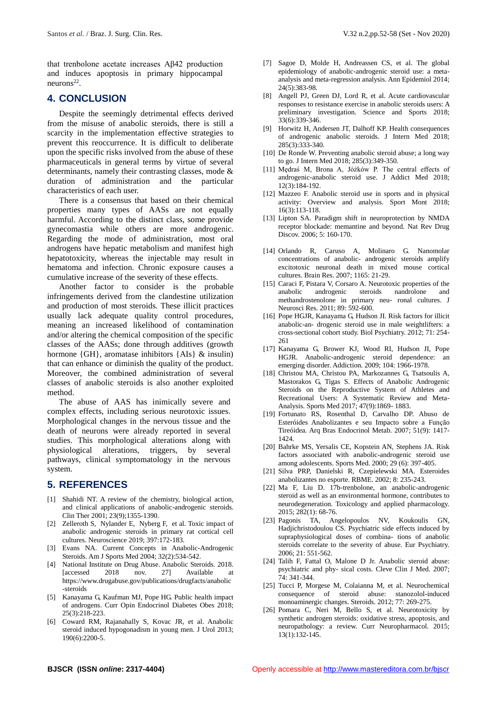that trenbolone acetate increases Aβ42 production and induces apoptosis in primary hippocampal  $neurons<sup>22</sup>$ .

## **4. CONCLUSION**

Despite the seemingly detrimental effects derived from the misuse of anabolic steroids, there is still a scarcity in the implementation effective strategies to prevent this reoccurrence. It is difficult to deliberate upon the specific risks involved from the abuse of these pharmaceuticals in general terms by virtue of several determinants, namely their contrasting classes, mode & duration of administration and the particular characteristics of each user.

There is a consensus that based on their chemical properties many types of AASs are not equally harmful. According to the distinct class, some provide gynecomastia while others are more androgenic. Regarding the mode of administration, most oral androgens have hepatic metabolism and manifest high hepatotoxicity, whereas the injectable may result in hematoma and infection. Chronic exposure causes a cumulative increase of the severity of these effects.

Another factor to consider is the probable infringements derived from the clandestine utilization and production of most steroids. These illicit practices usually lack adequate quality control procedures, meaning an increased likelihood of contamination and/or altering the chemical composition of the specific classes of the AASs; done through additives (growth hormone {GH}, aromatase inhibitors {AIs} & insulin} that can enhance or diminish the quality of the product. Moreover, the combined administration of several classes of anabolic steroids is also another exploited method.

The abuse of AAS has inimically severe and complex effects, including serious neurotoxic issues. Morphological changes in the nervous tissue and the death of neurons were already reported in several studies. This morphological alterations along with physiological alterations, triggers, by several pathways, clinical symptomatology in the nervous system.

## **5. REFERENCES**

- [1] Shahidi NT. A review of the chemistry, biological action, and clinical applications of anabolic-androgenic steroids. Clin Ther 2001; 23(9);1355-1390.
- [2] Zelleroth S, Nylander E, Nyberg F, et al. Toxic impact of anabolic androgenic steroids in primary rat cortical cell cultures. Neuroscience 2019; 397:172-183.
- [3] Evans NA. Current Concepts in Anabolic-Androgenic Steroids. Am J Sports Med 2004; 32(2):534-542.
- [4] National Institute on Drug Abuse. Anabolic Steroids. 2018. [accessed 2018 nov. 27] Available at https://www.drugabuse.gov/publications/drugfacts/anabolic -steroids
- [5] Kanayama G, Kaufman MJ, Pope HG. Public health impact of androgens. Curr Opin Endocrinol Diabetes Obes 2018; 25(3):218-223.
- [6] Coward RM, Rajanahally S, Kovac JR, et al. Anabolic steroid induced hypogonadism in young men. J Urol 2013; 190(6):2200-5.
- [8] Angell PJ, Green DJ, Lord R, et al. Acute cardiovascular responses to resistance exercise in anabolic steroids users: A preliminary investigation. Science and Sports 2018; 33(6):339-346.
- [9] Horwitz H, Andersen JT, Dalhoff KP. Health consequences of androgenic anabolic steroids. J Intern Med 2018; 285(3):333-340.
- [10] De Ronde W. Preventing anabolic steroid abuse; a long way to go. J Intern Med 2018; 285(3):349-350.
- [11] Mędraś M, Brona A, Jóźków P. The central effects of androgenic-anabolic steroid use. J Addict Med 2018; 12(3):184-192.
- [12] Mazzeo F. Anabolic steroid use in sports and in physical activity: Overview and analysis. Sport Mont 2018; 16(3):113-118.
- [13] Lipton SA. Paradigm shift in neuroprotection by NMDA receptor blockade: memantine and beyond. Nat Rev Drug Discov. 2006; 5: 160-170.
- [14] Orlando R, Caruso A, Molinaro G. Nanomolar concentrations of anabolic- androgenic steroids amplify excitotoxic neuronal death in mixed mouse cortical cultures. Brain Res. 2007; 1165: 21-29.
- [15] Caraci F, Pistara V, Corsaro A. Neurotoxic properties of the anabolic androgenic steroids nandrolone and methandrostenolone in primary neu- ronal cultures. J Neurosci Res. 2011; 89: 592-600.
- [16] Pope HGJR, Kanayama G, Hudson JI. Risk factors for illicit anabolic-an- drogenic steroid use in male weightlifters: a cross-sectional cohort study. Biol Psychiatry. 2012; 71: 254- 261
- [17] Kanayama G, Brower KJ, Wood RI, Hudson JI, Pope HGJR. Anabolic-androgenic steroid dependence: an emerging disorder. Addiction. 2009; 104: 1966-1978.
- [18] Christou MA, Christou PA, Markozannes G, Tsatsoulis A, Mastorakos G, Tigas S. Effects of Anabolic Androgenic Steroids on the Reproductive System of Athletes and Recreational Users: A Systematic Review and Meta-Analysis. Sports Med 2017; 47(9):1869- 1883.
- [19] Fortunato RS, Rosenthal D, Carvalho DP. Abuso de Esteróides Anabolizantes e seu Impacto sobre a Função Tireóidea. Arq Bras Endocrinol Metab. 2007; 51(9): 1417- 1424.
- [20] Bahrke MS, Yersalis CE, Kopstein AN, Stephens JA. Risk factors associated with anabolic-androgenic steroid use among adolescents. Sports Med. 2000; 29 (6): 397-405.
- [21] Silva PRP, Danielski R, Czepielewski MA. Esteroides anabolizantes no esporte. RBME. 2002; 8: 235-243.
- [22] Ma F, Liu D. 17b-trenbolone, an anabolic-androgenic steroid as well as an environmental hormone, contributes to neurodegeneration. Toxicology and applied pharmacology. 2015; 282(1): 68-76.
- [23] Pagonis TA, Angelopoulos NV, Koukoulis GN, Hadjichristodoulou CS. Psychiatric side effects induced by supraphysiological doses of combina- tions of anabolic steroids correlate to the severity of abuse. Eur Psychiatry. 2006; 21: 551-562.
- [24] Talih F, Fattal O, Malone D Jr. Anabolic steroid abuse: psychiatric and phy- sical costs. Cleve Clin J Med. 2007; 74: 341-344.
- [25] Tucci P, Morgese M, Colaianna M, et al. Neurochemical consequence of steroid abuse: stanozolol-induced monoaminergic changes. Steroids. 2012; 77: 269-275.
- [26] Pomara C, Neri M, Bello S, et al. Neurotoxicity by synthetic androgen steroids: oxidative stress, apoptosis, and neuropathology: a review. Curr Neuropharmacol. 2015; 13(1):132-145.